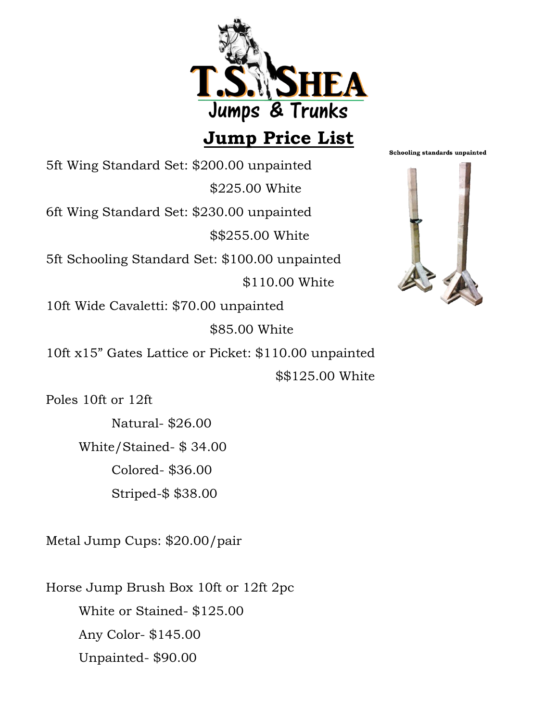

## **Jump Price List**

Schooling standards unpainted

5ft Wing Standard Set: \$200.00 unpainted \$225.00 White 6ft Wing Standard Set: \$230.00 unpainted \$\$255.00 White 5ft Schooling Standard Set: \$100.00 unpainted \$110.00 White 10ft Wide Cavaletti: \$70.00 unpainted \$85.00 White 10ft x15" Gates Lattice or Picket: \$110.00 unpainted

\$\$125.00 White

Poles 10ft or 12ft

Natural- \$26.00 White/Stained- \$ 34.00 Colored- \$36.00 Striped-\$ \$38.00

Metal Jump Cups: \$20.00/pair

Horse Jump Brush Box 10ft or 12ft 2pc White or Stained- \$125.00 Any Color- \$145.00 Unpainted- \$90.00

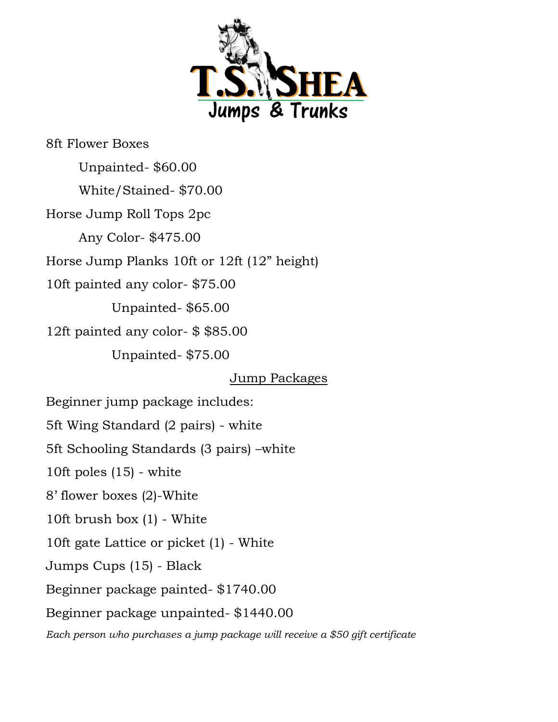

8ft Flower Boxes

Unpainted- \$60.00 White/Stained- \$70.00 Horse Jump Roll Tops 2pc Any Color- \$475.00 Horse Jump Planks 10ft or 12ft (12" height) 10ft painted any color- \$75.00 Unpainted- \$65.00 12ft painted any color- \$ \$85.00 Unpainted- \$75.00

Jump Packages

Beginner jump package includes:

5ft Wing Standard (2 pairs) - white

5ft Schooling Standards (3 pairs) –white

10ft poles (15) - white

8' flower boxes (2)-White

10ft brush box (1) - White

10ft gate Lattice or picket (1) - White

Jumps Cups (15) - Black

Beginner package painted- \$1740.00

Beginner package unpainted- \$1440.00

*Each person who purchases a jump package will receive a \$50 gift certificate*